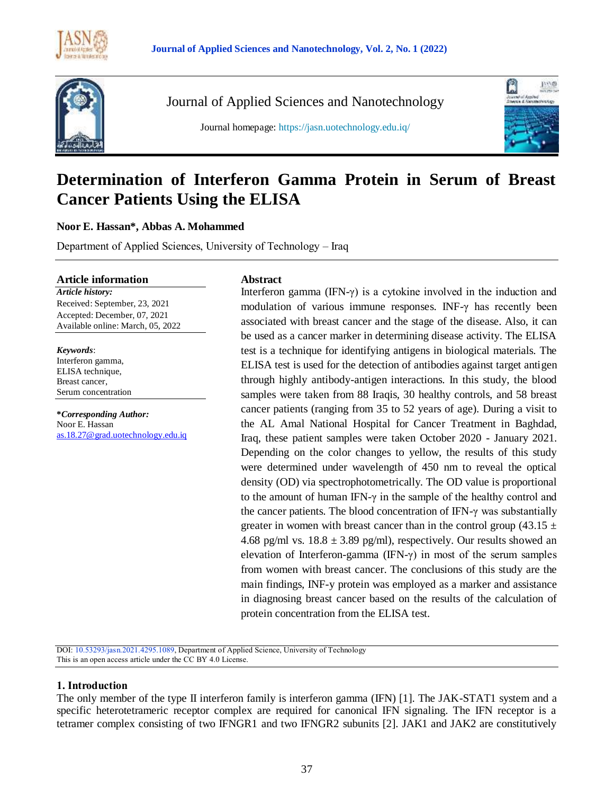



Journal of Applied Sciences and Nanotechnology

Journal homepage: https://jasn.uotechnology.edu.iq/



# **Determination of Interferon Gamma Protein in Serum of Breast Cancer Patients Using the ELISA**

### **Noor E. Hassan\*, Abbas A. Mohammed**

Department of Applied Sciences, University of Technology – Iraq

#### **Article information**

*Article history:* Received: September, 23, 2021 Accepted: December, 07, 2021 Available online: March, 05, 2022

*Keywords*: Interferon gamma, ELISA technique, Breast cancer, Serum concentration

**\****Corresponding Author:* Noor E. Hassan [as.18.27@grad.uotechnology.edu.iq](mailto:nooremad6666@gmail.com)

#### **Abstract**

Interferon gamma (IFN- $\gamma$ ) is a cytokine involved in the induction and modulation of various immune responses. INF-γ has recently been associated with breast cancer and the stage of the disease. Also, it can be used as a cancer marker in determining disease activity. The ELISA test is a technique for identifying antigens in biological materials. The ELISA test is used for the detection of antibodies against target antigen through highly antibody-antigen interactions. In this study, the blood samples were taken from 88 Iraqis, 30 healthy controls, and 58 breast cancer patients (ranging from 35 to 52 years of age). During a visit to the AL Amal National Hospital for Cancer Treatment in Baghdad, Iraq, these patient samples were taken October 2020 - January 2021. Depending on the color changes to yellow, the results of this study were determined under wavelength of 450 nm to reveal the optical density (OD) via spectrophotometrically. The OD value is proportional to the amount of human IFN- $\gamma$  in the sample of the healthy control and the cancer patients. The blood concentration of IFN- $\gamma$  was substantially greater in women with breast cancer than in the control group (43.15  $\pm$ 4.68 pg/ml vs.  $18.8 \pm 3.89$  pg/ml), respectively. Our results showed an elevation of Interferon-gamma (IFN-γ) in most of the serum samples from women with breast cancer. The conclusions of this study are the main findings, INF-y protein was employed as a marker and assistance in diagnosing breast cancer based on the results of the calculation of protein concentration from the ELISA test.

DOI: 10.53293/jasn.2021.4295.1089, Department of Applied Science, University of Technology This is an open access article under the CC BY 4.0 License.

#### **1. Introduction**

The only member of the type II interferon family is interferon gamma (IFN) [1]. The JAK-STAT1 system and a specific heterotetrameric receptor complex are required for canonical IFN signaling. The IFN receptor is a tetramer complex consisting of two IFNGR1 and two IFNGR2 subunits [2]. JAK1 and JAK2 are constitutively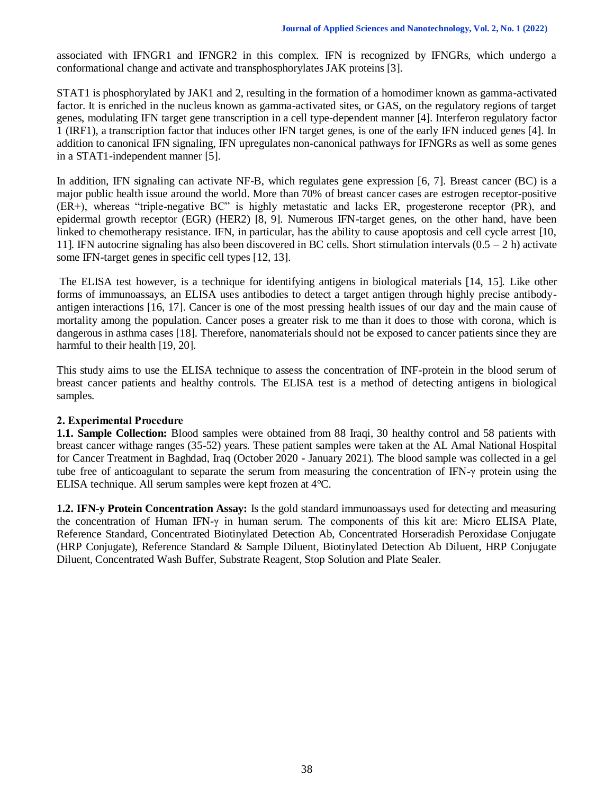associated with IFNGR1 and IFNGR2 in this complex. IFN is recognized by IFNGRs, which undergo a conformational change and activate and transphosphorylates JAK proteins [3].

STAT1 is phosphorylated by JAK1 and 2, resulting in the formation of a homodimer known as gamma-activated factor. It is enriched in the nucleus known as gamma-activated sites, or GAS, on the regulatory regions of target genes, modulating IFN target gene transcription in a cell type-dependent manner [4]. Interferon regulatory factor 1 (IRF1), a transcription factor that induces other IFN target genes, is one of the early IFN induced genes [4]. In addition to canonical IFN signaling, IFN upregulates non-canonical pathways for IFNGRs as well as some genes in a STAT1-independent manner [5].

In addition, IFN signaling can activate NF-B, which regulates gene expression [6, 7]. Breast cancer (BC) is a major public health issue around the world. More than 70% of breast cancer cases are estrogen receptor-positive (ER+), whereas "triple-negative BC" is highly metastatic and lacks ER, progesterone receptor (PR), and epidermal growth receptor (EGR) (HER2) [8, 9]. Numerous IFN-target genes, on the other hand, have been linked to chemotherapy resistance. IFN, in particular, has the ability to cause apoptosis and cell cycle arrest [10, 11]. IFN autocrine signaling has also been discovered in BC cells. Short stimulation intervals  $(0.5 - 2 h)$  activate some IFN-target genes in specific cell types [12, 13].

The ELISA test however, is a technique for identifying antigens in biological materials [14, 15]. Like other forms of immunoassays, an ELISA uses antibodies to detect a target antigen through highly precise antibodyantigen interactions [16, 17]. Cancer is one of the most pressing health issues of our day and the main cause of mortality among the population. Cancer poses a greater risk to me than it does to those with corona, which is dangerous in asthma cases [18]. Therefore, nanomaterials should not be exposed to cancer patients since they are harmful to their health [19, 20].

This study aims to use the ELISA technique to assess the concentration of INF-protein in the blood serum of breast cancer patients and healthy controls. The ELISA test is a method of detecting antigens in biological samples.

#### **2. Experimental Procedure**

**1.1. Sample Collection:** Blood samples were obtained from 88 Iraqi, 30 healthy control and 58 patients with breast cancer withage ranges (35-52) years. These patient samples were taken at the AL Amal National Hospital for Cancer Treatment in Baghdad, Iraq (October 2020 - January 2021). The blood sample was collected in a gel tube free of anticoagulant to separate the serum from measuring the concentration of IFN-γ protein using the ELISA technique. All serum samples were kept frozen at 4°C.

**1.2. IFN-y Protein Concentration Assay:** Is the gold standard immunoassays used for detecting and measuring the concentration of Human IFN-γ in human serum. The components of this kit are: Micro ELISA Plate, Reference Standard, Concentrated Biotinylated Detection Ab, Concentrated Horseradish Peroxidase Conjugate (HRP Conjugate), Reference Standard & Sample Diluent, Biotinylated Detection Ab Diluent, HRP Conjugate Diluent, Concentrated Wash Buffer, Substrate Reagent, Stop Solution and Plate Sealer.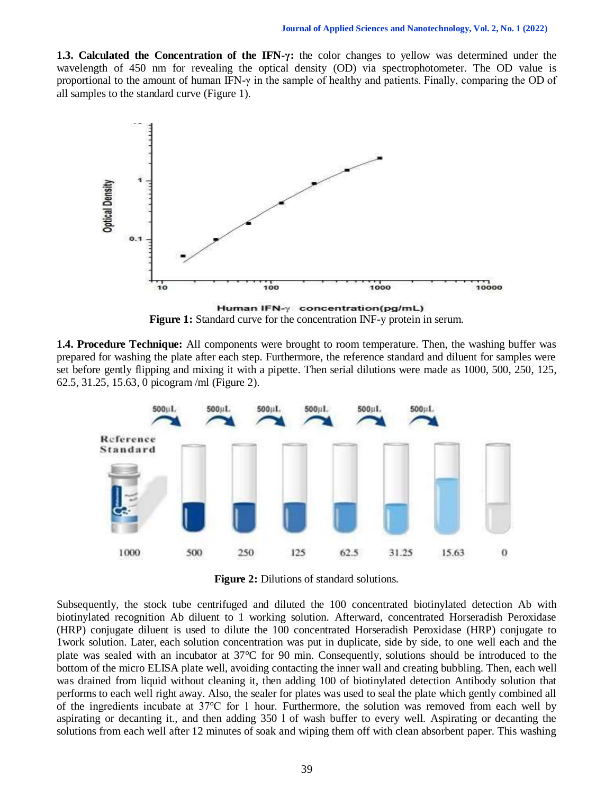**1.3. Calculated the Concentration of the IFN-γ:** the color changes to yellow was determined under the wavelength of 450 nm for revealing the optical density (OD) via spectrophotometer. The OD value is proportional to the amount of human IFN- $\gamma$  in the sample of healthy and patients. Finally, comparing the OD of all samples to the standard curve (Figure 1).



**Figure 1:** Standard curve for the concentration INF-y protein in serum.

**1.4. Procedure Technique:** All components were brought to room temperature. Then, the washing buffer was prepared for washing the plate after each step. Furthermore, the reference standard and diluent for samples were set before gently flipping and mixing it with a pipette. Then serial dilutions were made as 1000, 500, 250, 125, 62.5, 31.25, 15.63, 0 picogram /ml (Figure 2).



**Figure 2:** Dilutions of standard solutions.

Subsequently, the stock tube centrifuged and diluted the 100 concentrated biotinylated detection Ab with biotinylated recognition Ab diluent to 1 working solution. Afterward, concentrated Horseradish Peroxidase (HRP) conjugate diluent is used to dilute the 100 concentrated Horseradish Peroxidase (HRP) conjugate to 1work solution. Later, each solution concentration was put in duplicate, side by side, to one well each and the plate was sealed with an incubator at 37°C for 90 min. Consequently, solutions should be introduced to the bottom of the micro ELISA plate well, avoiding contacting the inner wall and creating bubbling. Then, each well was drained from liquid without cleaning it, then adding 100 of biotinylated detection Antibody solution that performs to each well right away. Also, the sealer for plates was used to seal the plate which gently combined all of the ingredients incubate at 37℃ for 1 hour. Furthermore, the solution was removed from each well by aspirating or decanting it., and then adding 350 l of wash buffer to every well. Aspirating or decanting the solutions from each well after 12 minutes of soak and wiping them off with clean absorbent paper. This washing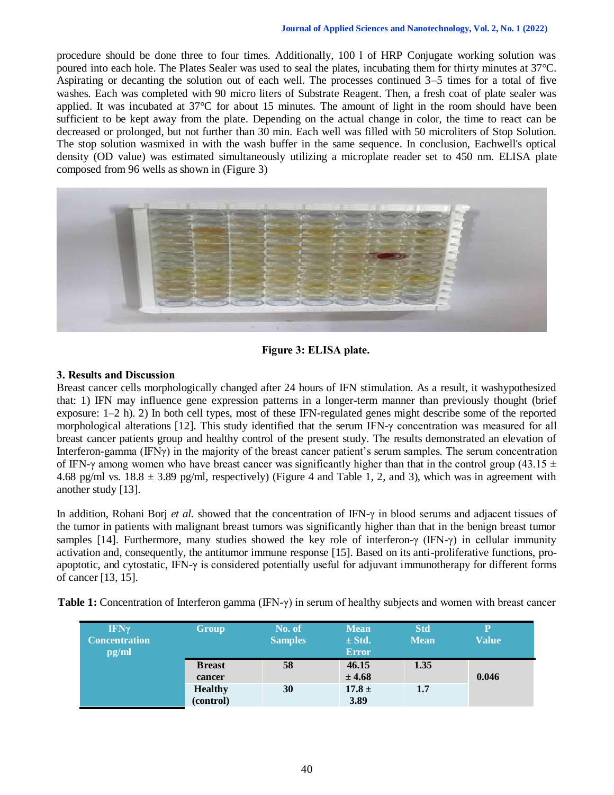procedure should be done three to four times. Additionally, 100 l of HRP Conjugate working solution was poured into each hole. The Plates Sealer was used to seal the plates, incubating them for thirty minutes at 37°C. Aspirating or decanting the solution out of each well. The processes continued 3–5 times for a total of five washes. Each was completed with 90 micro liters of Substrate Reagent. Then, a fresh coat of plate sealer was applied. It was incubated at 37°C for about 15 minutes. The amount of light in the room should have been sufficient to be kept away from the plate. Depending on the actual change in color, the time to react can be decreased or prolonged, but not further than 30 min. Each well was filled with 50 microliters of Stop Solution. The stop solution wasmixed in with the wash buffer in the same sequence. In conclusion, Eachwell's optical density (OD value) was estimated simultaneously utilizing a microplate reader set to 450 nm. ELISA plate composed from 96 wells as shown in (Figure 3)



**Figure 3: ELISA plate.**

### **3. Results and Discussion**

Breast cancer cells morphologically changed after 24 hours of IFN stimulation. As a result, it washypothesized that: 1) IFN may influence gene expression patterns in a longer-term manner than previously thought (brief exposure: 1–2 h). 2) In both cell types, most of these IFN-regulated genes might describe some of the reported morphological alterations [12]. This study identified that the serum IFN-γ concentration was measured for all breast cancer patients group and healthy control of the present study. The results demonstrated an elevation of Interferon-gamma (IFNγ) in the majority of the breast cancer patient's serum samples. The serum concentration of IFN-γ among women who have breast cancer was significantly higher than that in the control group (43.15  $\pm$ 4.68 pg/ml vs.  $18.8 \pm 3.89$  pg/ml, respectively) (Figure 4 and Table 1, 2, and 3), which was in agreement with another study [13].

In addition, Rohani Borj *et al.* showed that the concentration of IFN-γ in blood serums and adjacent tissues of the tumor in patients with malignant breast tumors was significantly higher than that in the benign breast tumor samples [14]. Furthermore, many studies showed the key role of interferon-γ (IFN-γ) in cellular immunity activation and, consequently, the antitumor immune response [15]. Based on its anti-proliferative functions, proapoptotic, and cytostatic, IFN-γ is considered potentially useful for adjuvant immunotherapy for different forms of cancer [13, 15].

| <b>IFNy</b><br><b>Concentration</b><br>pg/ml | Group          | No. of<br><b>Samples</b> | <b>Mean</b><br>$\pm$ Std.<br><b>Error</b> | <b>Std</b><br><b>Mean</b> | $\mathbf p$<br><b>Value</b> |
|----------------------------------------------|----------------|--------------------------|-------------------------------------------|---------------------------|-----------------------------|
|                                              | <b>B</b> reast | 58                       | 46.15                                     | 1.35                      |                             |
|                                              | cancer         |                          | ± 4.68                                    |                           | 0.046                       |
|                                              | <b>Healthy</b> | 30                       | $17.8 \pm$                                | 1.7                       |                             |
|                                              | (control)      |                          | 3.89                                      |                           |                             |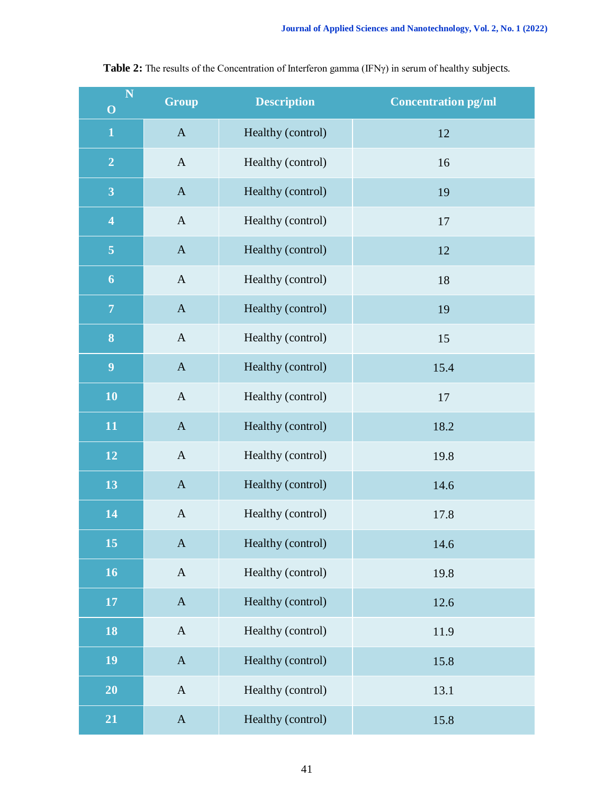| $\overline{\mathbf{N}}$<br>$\mathbf O$ | <b>Group</b> | <b>Description</b> | <b>Concentration pg/ml</b> |
|----------------------------------------|--------------|--------------------|----------------------------|
| $\mathbf{1}$                           | $\mathbf{A}$ | Healthy (control)  | 12                         |
| $\overline{2}$                         | $\mathbf{A}$ | Healthy (control)  | 16                         |
| $\overline{\mathbf{3}}$                | $\mathbf{A}$ | Healthy (control)  | 19                         |
| $\overline{\mathbf{4}}$                | $\mathbf{A}$ | Healthy (control)  | 17                         |
| $\overline{5}$                         | $\mathbf{A}$ | Healthy (control)  | 12                         |
| $\boldsymbol{6}$                       | $\mathbf{A}$ | Healthy (control)  | 18                         |
| $\overline{7}$                         | $\mathbf{A}$ | Healthy (control)  | 19                         |
| 8                                      | $\mathbf{A}$ | Healthy (control)  | 15                         |
| 9                                      | $\mathbf A$  | Healthy (control)  | 15.4                       |
| 10                                     | $\mathbf{A}$ | Healthy (control)  | 17                         |
| 11                                     | $\mathbf{A}$ | Healthy (control)  | 18.2                       |
| 12                                     | $\mathbf{A}$ | Healthy (control)  | 19.8                       |
| 13                                     | $\mathbf{A}$ | Healthy (control)  | 14.6                       |
| 14                                     | $\mathbf{A}$ | Healthy (control)  | 17.8                       |
| 15                                     | $\mathbf A$  | Healthy (control)  | 14.6                       |
| 16                                     | $\mathbf A$  | Healthy (control)  | 19.8                       |
| $17\,$                                 | $\mathbf A$  | Healthy (control)  | 12.6                       |
| 18                                     | $\mathbf A$  | Healthy (control)  | 11.9                       |
| 19                                     | $\mathbf{A}$ | Healthy (control)  | 15.8                       |
| 20                                     | $\mathbf A$  | Healthy (control)  | 13.1                       |
| 21                                     | $\mathbf{A}$ | Healthy (control)  | 15.8                       |

**Table 2:** The results of the Concentration of Interferon gamma (IFNγ) in serum of healthy subjects.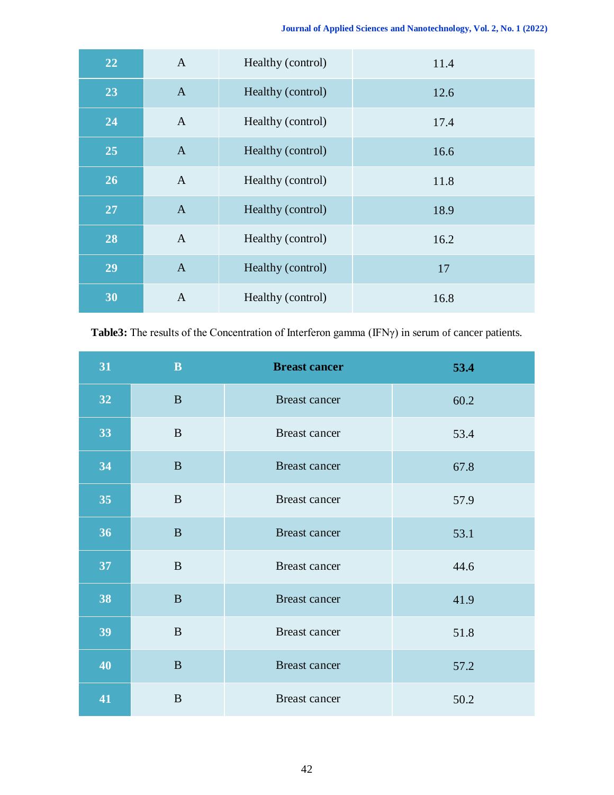| 22 | $\mathbf{A}$   | Healthy (control) | 11.4 |
|----|----------------|-------------------|------|
| 23 | $\overline{A}$ | Healthy (control) | 12.6 |
| 24 | $\mathbf{A}$   | Healthy (control) | 17.4 |
| 25 | $\mathbf{A}$   | Healthy (control) | 16.6 |
| 26 | $\mathbf{A}$   | Healthy (control) | 11.8 |
| 27 | $\mathbf{A}$   | Healthy (control) | 18.9 |
| 28 | $\overline{A}$ | Healthy (control) | 16.2 |
| 29 | $\mathbf{A}$   | Healthy (control) | 17   |
| 30 | $\mathbf{A}$   | Healthy (control) | 16.8 |

**Table3:** The results of the Concentration of Interferon gamma (IFNγ) in serum of cancer patients.

| 31 | $\mathbf B$  | <b>Breast cancer</b> | 53.4 |
|----|--------------|----------------------|------|
| 32 | $\mathbf{B}$ | Breast cancer        | 60.2 |
| 33 | $\mathbf{B}$ | Breast cancer        | 53.4 |
| 34 | $\mathbf{B}$ | Breast cancer        | 67.8 |
| 35 | $\mathbf B$  | <b>Breast cancer</b> | 57.9 |
| 36 | $\mathbf B$  | <b>Breast</b> cancer | 53.1 |
| 37 | $\mathbf{B}$ | Breast cancer        | 44.6 |
| 38 | $\, {\bf B}$ | Breast cancer        | 41.9 |
| 39 | $\mathbf B$  | Breast cancer        | 51.8 |
| 40 | $\mathbf{B}$ | <b>Breast cancer</b> | 57.2 |
| 41 | $\mathbf B$  | <b>Breast cancer</b> | 50.2 |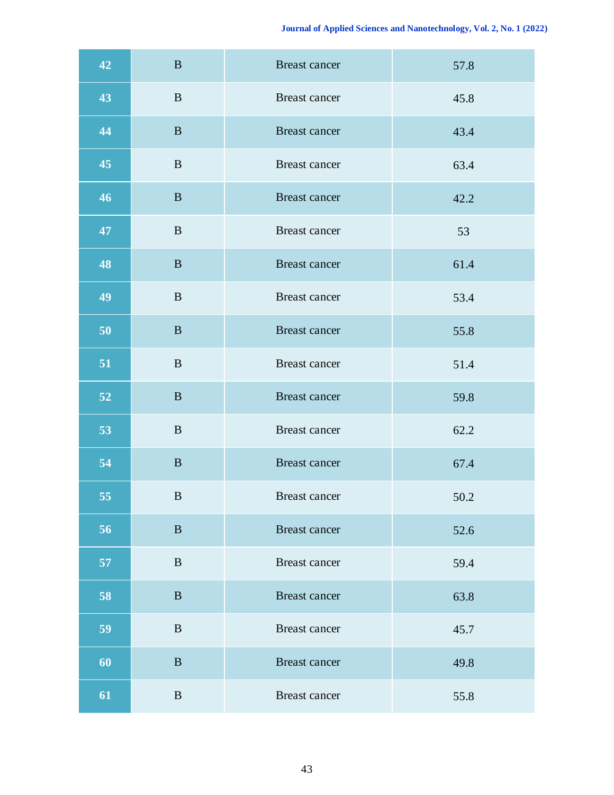| 42 | $\bf{B}$     | <b>Breast cancer</b> | 57.8 |
|----|--------------|----------------------|------|
| 43 | $\mathbf{B}$ | Breast cancer        | 45.8 |
| 44 | $\, {\bf B}$ | Breast cancer        | 43.4 |
| 45 | $\, {\bf B}$ | Breast cancer        | 63.4 |
| 46 | $\, {\bf B}$ | Breast cancer        | 42.2 |
| 47 | $\mathbf{B}$ | Breast cancer        | 53   |
| 48 | $\, {\bf B}$ | Breast cancer        | 61.4 |
| 49 | $\bf{B}$     | Breast cancer        | 53.4 |
| 50 | $\bf{B}$     | Breast cancer        | 55.8 |
| 51 | $\, {\bf B}$ | <b>Breast cancer</b> | 51.4 |
| 52 | $\, {\bf B}$ | Breast cancer        | 59.8 |
| 53 | $\, {\bf B}$ | Breast cancer        | 62.2 |
| 54 | $\mathbf B$  | <b>Breast cancer</b> | 67.4 |
| 55 | $\bf{B}$     | Breast cancer        | 50.2 |
| 56 | $\, {\bf B}$ | Breast cancer        | 52.6 |
| 57 | $\, {\bf B}$ | Breast cancer        | 59.4 |
| 58 | $\bf{B}$     | <b>Breast cancer</b> | 63.8 |
| 59 | $\bf{B}$     | Breast cancer        | 45.7 |
| 60 | $\bf{B}$     | <b>Breast cancer</b> | 49.8 |
| 61 | $\mathbf{B}$ | Breast cancer        | 55.8 |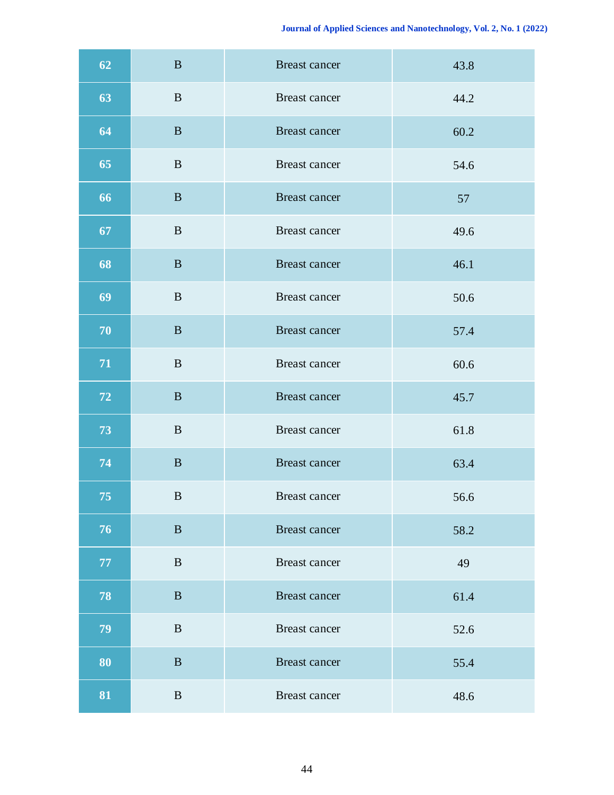| 62         | $\bf{B}$     | <b>Breast cancer</b> | 43.8 |
|------------|--------------|----------------------|------|
| 63         | $\mathbf{B}$ | Breast cancer        | 44.2 |
| 64         | $\, {\bf B}$ | Breast cancer        | 60.2 |
| 65         | $\, {\bf B}$ | Breast cancer        | 54.6 |
| 66         | $\mathbf{B}$ | Breast cancer        | 57   |
| 67         | $\mathbf{B}$ | Breast cancer        | 49.6 |
| 68         | $\, {\bf B}$ | Breast cancer        | 46.1 |
| 69         | $\, {\bf B}$ | <b>Breast cancer</b> | 50.6 |
| 70         | $\bf{B}$     | <b>Breast cancer</b> | 57.4 |
| ${\bf 71}$ | $\mathbf{B}$ | Breast cancer        | 60.6 |
| 72         | $\, {\bf B}$ | <b>Breast cancer</b> | 45.7 |
| 73         | $\, {\bf B}$ | Breast cancer        | 61.8 |
| 74         | $\mathbf B$  | <b>Breast cancer</b> | 63.4 |
| $75\,$     | $\bf{B}$     | Breast cancer        | 56.6 |
| 76         | $\mathbf B$  | Breast cancer        | 58.2 |
| 77         | $\mathbf{B}$ | Breast cancer        | 49   |
| 78         | $\bf{B}$     | <b>Breast cancer</b> | 61.4 |
| 79         | $\bf{B}$     | Breast cancer        | 52.6 |
| 80         | $\bf{B}$     | <b>Breast cancer</b> | 55.4 |
| 81         | $\mathbf{B}$ | <b>Breast cancer</b> | 48.6 |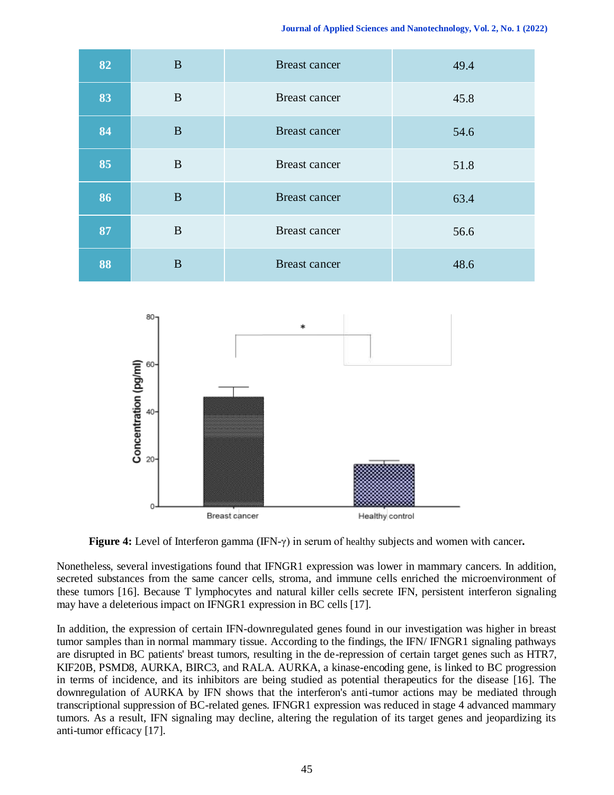| 82 | $\mathbf{B}$ | <b>Breast cancer</b> | 49.4 |
|----|--------------|----------------------|------|
| 83 | B            | <b>Breast cancer</b> | 45.8 |
| 84 | B            | <b>Breast cancer</b> | 54.6 |
| 85 | B            | <b>Breast cancer</b> | 51.8 |
| 86 | B            | <b>Breast cancer</b> | 63.4 |
| 87 | $\mathbf{B}$ | <b>Breast cancer</b> | 56.6 |
| 88 | B            | <b>Breast cancer</b> | 48.6 |



**Figure 4:** Level of Interferon gamma (IFN-γ) in serum of healthy subjects and women with cancer**.**

Nonetheless, several investigations found that IFNGR1 expression was lower in mammary cancers. In addition, secreted substances from the same cancer cells, stroma, and immune cells enriched the microenvironment of these tumors [16]. Because T lymphocytes and natural killer cells secrete IFN, persistent interferon signaling may have a deleterious impact on IFNGR1 expression in BC cells [17].

In addition, the expression of certain IFN-downregulated genes found in our investigation was higher in breast tumor samples than in normal mammary tissue. According to the findings, the IFN/ IFNGR1 signaling pathways are disrupted in BC patients' breast tumors, resulting in the de-repression of certain target genes such as HTR7, KIF20B, PSMD8, AURKA, BIRC3, and RALA. AURKA, a kinase-encoding gene, is linked to BC progression in terms of incidence, and its inhibitors are being studied as potential therapeutics for the disease [16]. The downregulation of AURKA by IFN shows that the interferon's anti-tumor actions may be mediated through transcriptional suppression of BC-related genes. IFNGR1 expression was reduced in stage 4 advanced mammary tumors. As a result, IFN signaling may decline, altering the regulation of its target genes and jeopardizing its anti-tumor efficacy [17].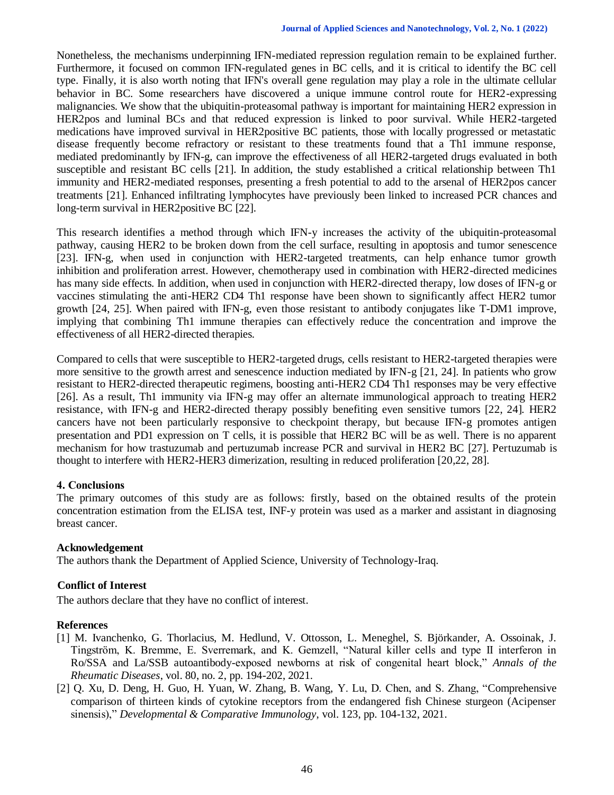Nonetheless, the mechanisms underpinning IFN-mediated repression regulation remain to be explained further. Furthermore, it focused on common IFN-regulated genes in BC cells, and it is critical to identify the BC cell type. Finally, it is also worth noting that IFN's overall gene regulation may play a role in the ultimate cellular behavior in BC. Some researchers have discovered a unique immune control route for HER2-expressing malignancies. We show that the ubiquitin-proteasomal pathway is important for maintaining HER2 expression in HER2pos and luminal BCs and that reduced expression is linked to poor survival. While HER2-targeted medications have improved survival in HER2positive BC patients, those with locally progressed or metastatic disease frequently become refractory or resistant to these treatments found that a Th1 immune response, mediated predominantly by IFN-g, can improve the effectiveness of all HER2-targeted drugs evaluated in both susceptible and resistant BC cells [21]. In addition, the study established a critical relationship between Th1 immunity and HER2-mediated responses, presenting a fresh potential to add to the arsenal of HER2pos cancer treatments [21]. Enhanced infiltrating lymphocytes have previously been linked to increased PCR chances and long-term survival in HER2positive BC [22].

This research identifies a method through which IFN-y increases the activity of the ubiquitin-proteasomal pathway, causing HER2 to be broken down from the cell surface, resulting in apoptosis and tumor senescence [23]. IFN-g, when used in conjunction with HER2-targeted treatments, can help enhance tumor growth inhibition and proliferation arrest. However, chemotherapy used in combination with HER2-directed medicines has many side effects. In addition, when used in conjunction with HER2-directed therapy, low doses of IFN-g or vaccines stimulating the anti-HER2 CD4 Th1 response have been shown to significantly affect HER2 tumor growth [24, 25]. When paired with IFN-g, even those resistant to antibody conjugates like T-DM1 improve, implying that combining Th1 immune therapies can effectively reduce the concentration and improve the effectiveness of all HER2-directed therapies.

Compared to cells that were susceptible to HER2-targeted drugs, cells resistant to HER2-targeted therapies were more sensitive to the growth arrest and senescence induction mediated by IFN-g [21, 24]. In patients who grow resistant to HER2-directed therapeutic regimens, boosting anti-HER2 CD4 Th1 responses may be very effective [26]. As a result, Th1 immunity via IFN-g may offer an alternate immunological approach to treating HER2 resistance, with IFN-g and HER2-directed therapy possibly benefiting even sensitive tumors [22, 24]. HER2 cancers have not been particularly responsive to checkpoint therapy, but because IFN-g promotes antigen presentation and PD1 expression on T cells, it is possible that HER2 BC will be as well. There is no apparent mechanism for how trastuzumab and pertuzumab increase PCR and survival in HER2 BC [27]. Pertuzumab is thought to interfere with HER2-HER3 dimerization, resulting in reduced proliferation [20,22, 28].

#### **4. Conclusions**

The primary outcomes of this study are as follows: firstly, based on the obtained results of the protein concentration estimation from the ELISA test, INF-y protein was used as a marker and assistant in diagnosing breast cancer.

## **Acknowledgement**

The authors thank the Department of Applied Science, University of Technology-Iraq.

## **Conflict of Interest**

The authors declare that they have no conflict of interest.

#### **References**

- [1] M. Ivanchenko, G. Thorlacius, M. Hedlund, V. Ottosson, L. Meneghel, S. Björkander, A. Ossoinak, J. Tingström, K. Bremme, E. Sverremark, and K. Gemzell, "Natural killer cells and type II interferon in Ro/SSA and La/SSB autoantibody-exposed newborns at risk of congenital heart block," *Annals of the Rheumatic Diseases*, vol. 80, no. 2, pp. 194-202, 2021.
- [2] Q. Xu, D. Deng, H. Guo, H. Yuan, W. Zhang, B. Wang, Y. Lu, D. Chen, and S. Zhang, "Comprehensive comparison of thirteen kinds of cytokine receptors from the endangered fish Chinese sturgeon (Acipenser sinensis)," *Developmental & Comparative Immunology*, vol. 123, pp. 104-132, 2021.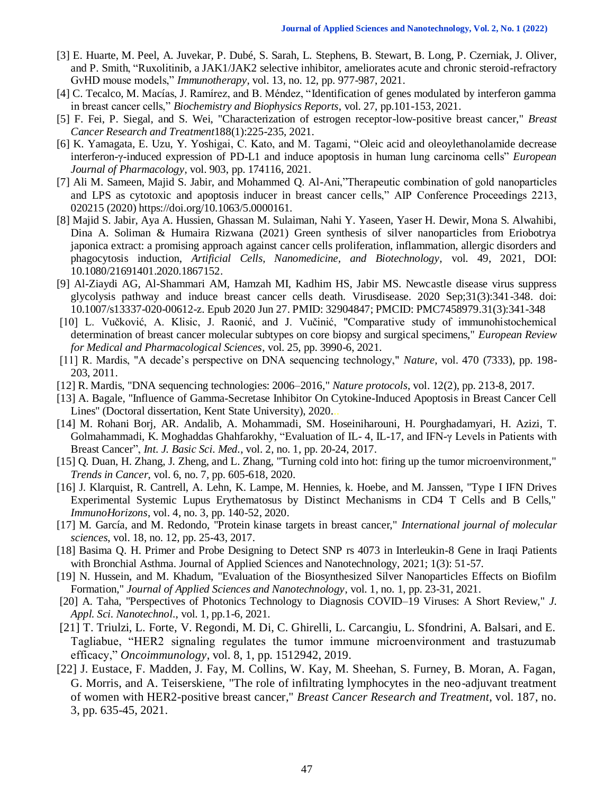- [3] E. Huarte, M. Peel, A. Juvekar, P. Dubé, S. Sarah, L. Stephens, B. Stewart, B. Long, P. Czerniak, J. Oliver, and P. Smith, "Ruxolitinib, a JAK1/JAK2 selective inhibitor, ameliorates acute and chronic steroid-refractory GvHD mouse models," *Immunotherapy*, vol. 13, no. 12, pp. 977-987, 2021.
- [4] C. Tecalco, M. Macías, J. Ramírez, and B. Méndez, "Identification of genes modulated by interferon gamma in breast cancer cells," *Biochemistry and Biophysics Reports*, vol. 27, pp.101-153, 2021.
- [5] F. Fei, P. Siegal, and S. Wei, "Characterization of estrogen receptor-low-positive breast cancer," *Breast Cancer Research and Treatment*188(1):225-235, 2021.
- [6] K. Yamagata, E. Uzu, Y. Yoshigai, C. Kato, and M. Tagami, "Oleic acid and oleoylethanolamide decrease interferon-γ-induced expression of PD-L1 and induce apoptosis in human lung carcinoma cells" *European Journal of Pharmacology*, vol. 903, pp. 174116, 2021.
- [7] Ali M. Sameen, Majid S. Jabir, and Mohammed Q. Al-Ani,"Therapeutic combination of gold nanoparticles and LPS as cytotoxic and apoptosis inducer in breast cancer cells," AIP Conference Proceedings 2213, 020215 (2020) https://doi.org/10.1063/5.0000161.
- [8] Majid S. Jabir, Aya A. Hussien, Ghassan M. Sulaiman, Nahi Y. Yaseen, Yaser H. Dewir, Mona S. Alwahibi, Dina A. Soliman & Humaira Rizwana (2021) Green synthesis of silver nanoparticles from Eriobotrya japonica extract: a promising approach against cancer cells proliferation, inflammation, allergic disorders and phagocytosis induction, *Artificial Cells, Nanomedicine, and Biotechnology*, vol. 49, 2021, DOI: 10.1080/21691401.2020.1867152.
- [9] Al-Ziaydi AG, Al-Shammari AM, Hamzah MI, Kadhim HS, Jabir MS. Newcastle disease virus suppress glycolysis pathway and induce breast cancer cells death. Virusdisease. 2020 Sep;31(3):341-348. doi: 10.1007/s13337-020-00612-z. Epub 2020 Jun 27. PMID: 32904847; PMCID: PMC7458979.31(3):341-348
- [10] L. Vučković, A. Klisic, J. Raonić, and J. Vučinić, "Comparative study of immunohistochemical determination of breast cancer molecular subtypes on core biopsy and surgical specimens," *European Review for Medical and Pharmacological Sciences*, vol. 25, pp. 3990-6, 2021.
- [11] R. Mardis, "A decade's perspective on DNA sequencing technology," *Nature*, vol. 470 (7333), pp. 198- 203, 2011.
- [12] R. Mardis, "DNA sequencing technologies: 2006–2016," *Nature protocols*, vol. 12(2), pp. 213-8, 2017.
- [13] A. Bagale, "Influence of Gamma-Secretase Inhibitor On Cytokine-Induced Apoptosis in Breast Cancer Cell Lines" (Doctoral dissertation, Kent State University), 2020...
- [14] M. Rohani Borj, AR. Andalib, A. Mohammadi, SM. Hoseiniharouni, H. Pourghadamyari, H. Azizi, T. Golmahammadi, K. Moghaddas Ghahfarokhy, "Evaluation of IL- 4, IL-17, and IFN-γ Levels in Patients with Breast Cancer", *Int. J. Basic Sci. Med.*, vol. 2, no. 1, pp. 20-24, 2017.
- [15] Q. Duan, H. Zhang, J. Zheng, and L. Zhang, "Turning cold into hot: firing up the tumor microenvironment," *Trends in Cancer*, vol. 6, no. 7, pp. 605-618, 2020.
- [16] J. Klarquist, R. Cantrell, A. Lehn, K. Lampe, M. Hennies, k. Hoebe, and M. Janssen, "Type I IFN Drives Experimental Systemic Lupus Erythematosus by Distinct Mechanisms in CD4 T Cells and B Cells," *ImmunoHorizons*, vol. 4, no. 3, pp. 140-52, 2020.
- [17] M. García, and M. Redondo, "Protein kinase targets in breast cancer," *International journal of molecular sciences*, vol. 18, no. 12, pp. 25-43, 2017.
- [18] Basima Q. H. Primer and Probe Designing to Detect SNP rs 4073 in Interleukin-8 Gene in Iraqi Patients with Bronchial Asthma. Journal of Applied Sciences and Nanotechnology, 2021; 1(3): 51-57.
- [19] N. Hussein, and M. Khadum, "Evaluation of the Biosynthesized Silver Nanoparticles Effects on Biofilm Formation," *Journal of Applied Sciences and Nanotechnology*, vol. 1, no. 1, pp. 23-31, 2021.
- [20] A. Taha, "Perspectives of Photonics Technology to Diagnosis COVID–19 Viruses: A Short Review," *J. Appl. Sci. Nanotechnol*., vol. 1, pp.1-6, 2021.
- [21] T. Triulzi, L. Forte, V. Regondi, M. Di, C. Ghirelli, L. Carcangiu, L. Sfondrini, A. Balsari, and E. Tagliabue, "HER2 signaling regulates the tumor immune microenvironment and trastuzumab efficacy," *Oncoimmunology*, vol. 8, 1, pp. 1512942, 2019.
- [22] J. Eustace, F. Madden, J. Fay, M. Collins, W. Kay, M. Sheehan, S. Furney, B. Moran, A. Fagan, G. Morris, and A. Teiserskiene, "The role of infiltrating lymphocytes in the neo-adjuvant treatment of women with HER2-positive breast cancer," *Breast Cancer Research and Treatment*, vol. 187, no. 3, pp. 635-45, 2021.